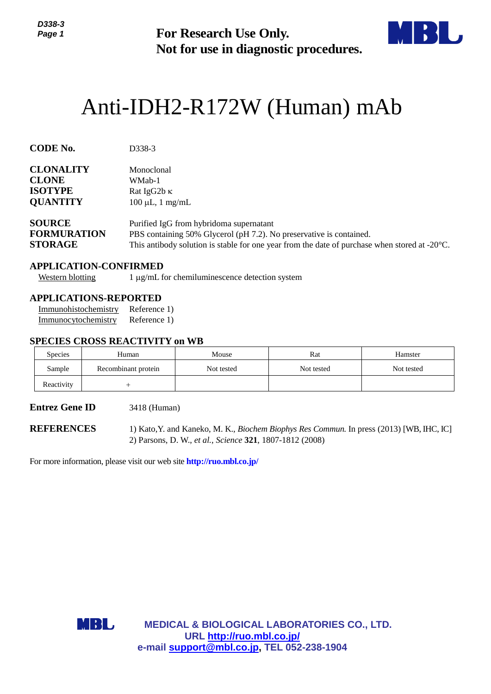

# Anti-IDH2-R172W (Human) mAb

| ט-טטט<br>Page 1                                                             |     | <b>For Research Use Only.</b><br>Not for use in diagnostic procedures.                                                                                                                                                    |                                                                                     |            |            |  |  |
|-----------------------------------------------------------------------------|-----|---------------------------------------------------------------------------------------------------------------------------------------------------------------------------------------------------------------------------|-------------------------------------------------------------------------------------|------------|------------|--|--|
|                                                                             |     |                                                                                                                                                                                                                           | Anti-IDH2-R172W (Human) mAb                                                         |            |            |  |  |
| <b>CODE No.</b>                                                             |     | D338-3                                                                                                                                                                                                                    |                                                                                     |            |            |  |  |
| <b>CLONALITY</b><br><b>CLONE</b><br><b>ISOTYPE</b><br><b>QUANTITY</b>       |     | Monoclonal<br>WMab-1<br>Rat IgG2b K<br>$100 \mu L$ , 1 mg/mL                                                                                                                                                              |                                                                                     |            |            |  |  |
| <b>SOURCE</b><br><b>FORMURATION</b><br><b>STORAGE</b>                       |     | Purified IgG from hybridoma supernatant<br>PBS containing 50% Glycerol (pH 7.2). No preservative is contained.<br>This antibody solution is stable for one year from the date of purchase when stored at $-20^{\circ}$ C. |                                                                                     |            |            |  |  |
| <b>APPLICATION-CONFIRMED</b><br><b>Western blotting</b>                     |     |                                                                                                                                                                                                                           | 1 μg/mL for chemiluminescence detection system                                      |            |            |  |  |
| <b>APPLICATIONS-REPORTED</b><br>Immunohistochemistry<br>Immunocytochemistry |     | Reference 1)<br>Reference 1)                                                                                                                                                                                              |                                                                                     |            |            |  |  |
| <b>SPECIES CROSS REACTIVITY on WB</b><br>Species                            |     | Human                                                                                                                                                                                                                     | Mouse                                                                               | Rat        | Hamster    |  |  |
| Sample                                                                      |     | Recombinant protein                                                                                                                                                                                                       | Not tested                                                                          | Not tested | Not tested |  |  |
| Reactivity                                                                  |     | $^{+}$                                                                                                                                                                                                                    |                                                                                     |            |            |  |  |
| <b>Entrez Gene ID</b>                                                       |     | 3418 (Human)                                                                                                                                                                                                              |                                                                                     |            |            |  |  |
| <b>REFERENCES</b>                                                           |     | 1) Kato, Y. and Kaneko, M. K., Biochem Biophys Res Commun. In press (2013) [WB, IHC, IC]<br>2) Parsons, D. W., et al., Science 321, 1807-1812 (2008)                                                                      |                                                                                     |            |            |  |  |
|                                                                             |     |                                                                                                                                                                                                                           | For more information, please visit our web site http://ruo.mbl.co.jp/               |            |            |  |  |
|                                                                             |     |                                                                                                                                                                                                                           |                                                                                     |            |            |  |  |
|                                                                             |     |                                                                                                                                                                                                                           |                                                                                     |            |            |  |  |
|                                                                             |     |                                                                                                                                                                                                                           |                                                                                     |            |            |  |  |
|                                                                             | MBL |                                                                                                                                                                                                                           | <b>MEDICAL &amp; BIOLOGICAL LABORATORIES CO., LTD.</b><br>URL http://ruo.mbl.co.jp/ |            |            |  |  |
|                                                                             |     |                                                                                                                                                                                                                           | e-mail support@mbl.co.jp, TEL 052-238-1904                                          |            |            |  |  |

# **APPLICATION-CONFIRMED**

# **APPLICATIONS-REPORTED**

#### **SPECIES CROSS REACTIVITY on WB**

| <b>Species</b> | Human               | Mouse      | Rat        | Hamster    |
|----------------|---------------------|------------|------------|------------|
| Sample         | Recombinant protein | Not tested | Not tested | Not tested |
| Reactivity     |                     |            |            |            |

#### **Entrez Gene ID** 3418 (Human)

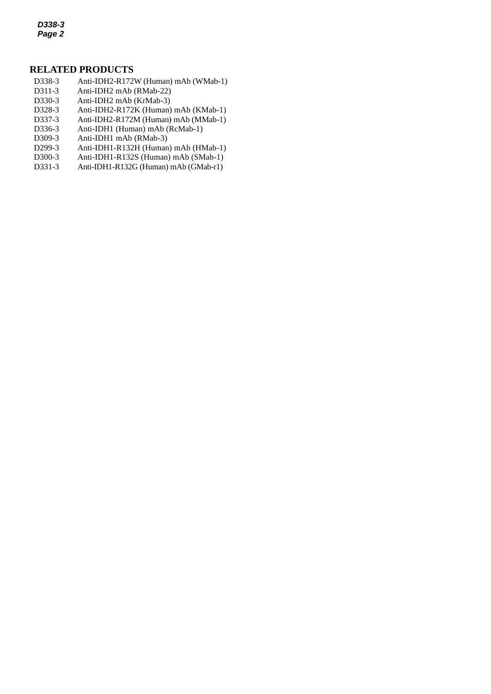*D338-3 Page 2*

# **RELATED PRODUCTS**

- D338-3 Anti-IDH2-R172W (Human) mAb (WMab-1)
- *2* D311-3 Anti-IDH2 mAb (RMab-22)
- D330-3 Anti-IDH2 mAb (KrMab-3)
- D328-3 [Anti-IDH2-R172K](http://ruo.mbl.co.jp/dtl/A/D328-3/) (Human) mAb (KMab-1)
- D337-3 Anti-IDH2-R172M (Human) mAb (MMab-1)
- D336-3 Anti-IDH1 (Human) mAb (RcMab-1)
- D309-3 Anti-IDH1 mAb (RMab-3)
- D299-3 Anti-IDH1-R132H (Human) mAb (HMab-1)
- D300-3 Anti-IDH1-R132S (Human) mAb (SMab-1)
- D331-3 Anti-IDH1-R132G (Human) mAb (GMab-r1)